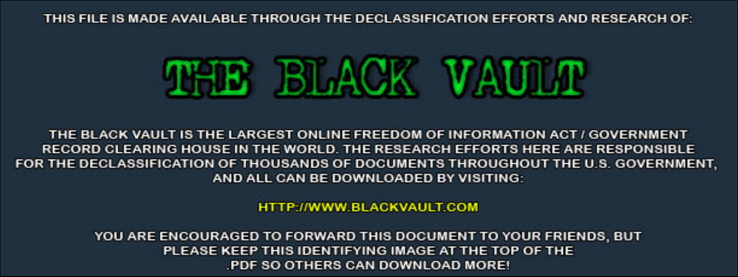THIS FILE IS MADE AVAILABLE THROUGH THE DECLASSIFICATION EFFORTS AND RESEARCH OF:



THE BLACK VAULT IS THE LARGEST ONLINE FREEDOM OF INFORMATION ACT / GOVERNMENT RECORD CLEARING HOUSE IN THE WORLD. THE RESEARCH EFFORTS HERE ARE RESPONSIBLE FOR THE DECLASSIFICATION OF THOUSANDS OF DOCUMENTS THROUGHOUT THE U.S. GOVERNMENT, AND ALL CAN BE DOWNLOADED BY VISITING:

**HTTP://WWW.BLACKVAULT.COM** 

YOU ARE ENCOURAGED TO FORWARD THIS DOCUMENT TO YOUR FRIENDS, BUT PLEASE KEEP THIS IDENTIFYING IMAGE AT THE TOP OF THE PDF SO OTHERS CAN DOWNLOAD MORE!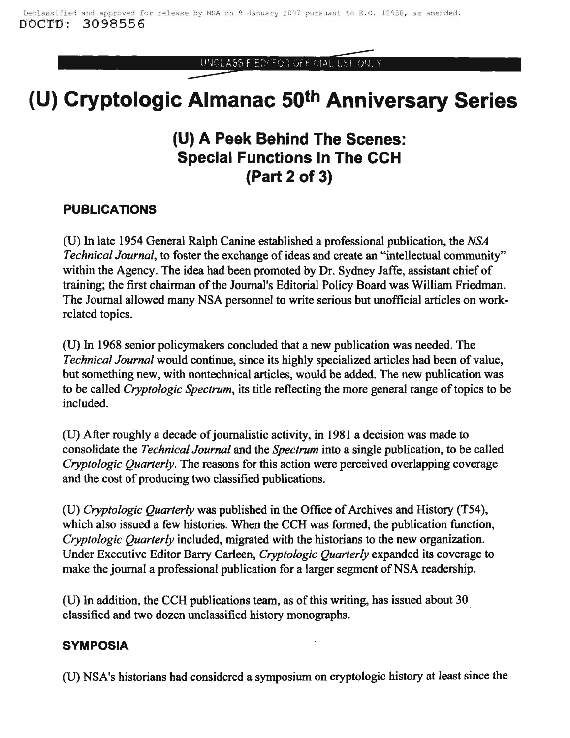UNOLASSIFIED//FOR OFFICIAL USE ONLY

# **(U) Cryptologic Almanac 50th Anniversary Series**

## **(U) A Peek Behind The Scenes: Special Functions In The CCH (Part 2 of 3)**

#### **PUBLICATIONS**

(U) In late 1954 General Ralph Canine established a professional publication, the *NSA Technical Journal*, to foster the exchange of ideas and create an "intellectual community" within the Agency. The idea had been promoted by Dr. Sydney Jaffe, assistant chief of training; the first chairman of the Journal's Editorial Policy Board was William Friedman. The Journal allowed many NSA personnel to write serious but unofficial articles on workrelated topics.

(U) In 1968 senior policymakers concluded that a new publication was needed. The *Technical Journal* would continue, since its highly specialized articles had been of value, but something new, with nontechnical articles, would be added. The new publication was to be called *Cryptologic Spectrum,* its title reflecting the more general range oftopics to be included.

(U) After roughly a decade ofjournalistic activity, in 1981 a decision was made to consolidate the *Technical Journal* and the *Spectrum* into a single publication, to be called *Cryptologic Quarterly.* The reasons for this action were perceived overlapping coverage and the cost of producing two classified publications.

(U) *Cryptologic Quarterly* was published in the Office of Archives and History *(T54),* which also issued a few histories. When the CCH was formed, the publication function, *Cryptologic Quarterly* included, migrated with the historians to the new organization. Under Executive Editor Barry Carleen, *Cryptologic Quarterly* expanded its coverage to make the journal a professional publication for a larger segment of NSA readership.

 $(U)$  In addition, the CCH publications team, as of this writing, has issued about 30 classified and two dozen unclassified history monographs.

#### **SYMPOSIA**

(U) NSA's historians had considered a symposium on cryptologic history at least since the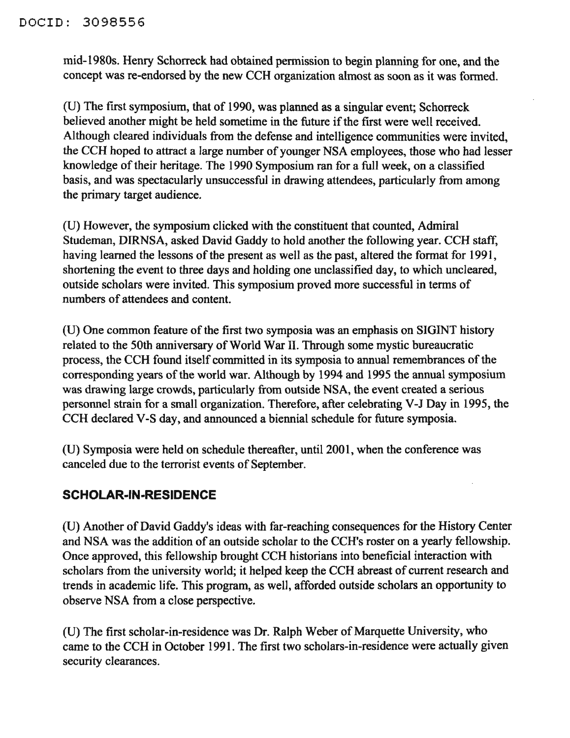mid-1980s. Henry Schorreck had obtained permission to begin planning for one, and the concept was re-endorsed by the new CCH organization almost as soon as it was formed.

(U) The first symposium, that of 1990, was planned as a singular event; Schorreck believed another might be held sometime in the future if the first were well received. Although cleared individuals from the defense and intelligence communities were invited, the CCH hoped to attract a large number of younger N8A employees, those who had lesser knowledge of their heritage. The 1990 Symposium ran for a full week, on a classified basis, and was spectacularly unsuccessful in drawing attendees, particularly from among the primary target audience.

(U) However, the symposium clicked with the constituent that counted, Admiral Studeman, DIRN8A, asked David Gaddy to hold another the following year. CCH staff, having learned the lessons of the present as well as the past, altered the format for 1991, shortening the event to three days and holding one unclassified day, to which uncleared, outside scholars were invited. This symposium proved more successful in terms of numbers of attendees and content.

(U) One common feature of the first two symposia was an emphasis on SIGINT history related to the 50th anniversary of World War II. Through some mystic bureaucratic process, the CCH found itself committed in its symposia to annual remembrances of the corresponding years of the world war. Although by 1994 and 1995 the annual symposium was drawing large crowds, particularly from outside NSA, the event created a serious personnel strain for a small organization. Therefore, after celebrating V-J Day in 1995, the CCH declared V-8 day, and announced a biennial schedule for future symposia.

(U) Symposia were held on schedule thereafter, until 2001, when the conference was canceled due to the terrorist events of September.

#### **SCHOLAR-IN-RESIDENCE**

(U) Another of David Gaddy's ideas with far-reaching consequences for the History Center and NSA was the addition of an outside scholar to the CCH's roster on a yearly fellowship. Once approved, this fellowship brought CCH historians into beneficial interaction with scholars from the university world; it helped keep the CCH abreast of current research and trends in academic life. This program, as well, afforded outside scholars an opportunity to observe NSA from a close perspective.

(U) The first scholar-in-residence was Dr. Ralph Weber of Marquette University, who came to the CCH in October 1991. The first two scholars-in-residence were actually given security clearances.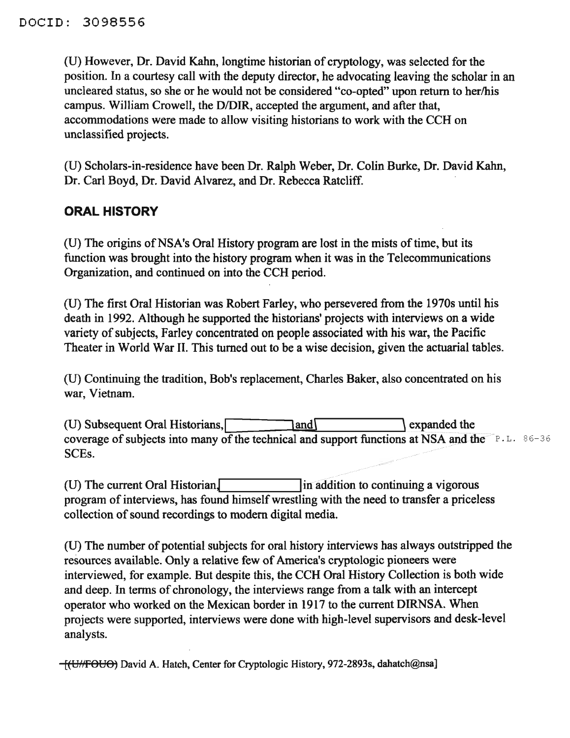(U) However, Dr. David Kahn, longtime historian of cryptology, was selected for the position. In a courtesy call with the deputy director, he advocating leaving the scholar in an uncleared status, so she or he would not be considered "co-opted" upon return to her/his campus. William Crowell, the D/DIR, accepted the argument, and after that, accommodations were made to allow visiting historians to work with the CCH on unclassified projects.

(U) Scholars-in-residence have been Dr. Ralph Weber, Dr. Colin Burke, Dr. David Kahn, Dr. Carl Boyd, Dr. David Alvarez, and Dr. Rebecca Ratcliff.

#### **ORAL HISTORY**

(U) The origins of NSA's Oral History program are lost in the mists of time, but its function was brought into the history program when it was in the Telecommunications Organization, and continued on into the CCH period.

(U) The first Oral Historian was Robert Farley, who persevered from the 1970s until his death in 1992. Although he supported the historians' projects with interviews on a wide variety of subjects, Farley concentrated on people associated with his war, the Pacific Theater in World War II. This turned out to be a wise decision, given the actuarial tables.

(U) Continuing the tradition, Bob's replacement, Charles Baker, also concentrated on his war, Vietnam.

(U) Subsequent Oral Historians,1 land' \t::x:P8Jlded the coverage of subjects into many of the technical and support functions at NSA and the **P.L. 86-36** SCEs.

(U) The current Oral Historian, in addition to continuing a vigorous program of interviews, has found himself wrestling with the need to transfer a priceless collection of sound recordings to modern digital media.

(U) The number of potential subjects for oral history interviews has always outstripped the resources available. Only a relative few of America's cryptologic pioneers were interviewed, for example. But despite this, the CCH Oral History Collection is both wide and deep. In terms of chronology, the interviews range from a talk with an intercept operator who worked on the Mexican border in 1917 to the current DIRNSA. When projects were supported, interviews were done with high-level supervisors and desk-level analysts.

[(UHfOUO' David A. Hatch, Center for Crypto]ogic History, 972-2893s, dahatch@nsa]